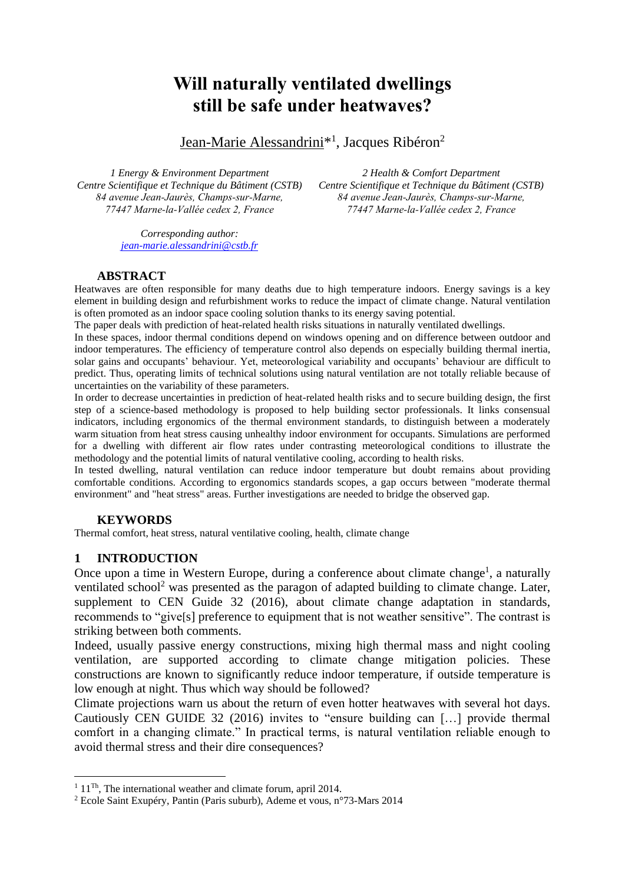# **Will naturally ventilated dwellings still be safe under heatwaves?**

Jean-Marie Alessandrini<sup>\*1</sup>, Jacques Ribéron<sup>2</sup>

*1 Energy & Environment Department Centre Scientifique et Technique du Bâtiment (CSTB) 84 avenue Jean-Jaurès, Champs-sur-Marne, 77447 Marne-la-Vallée cedex 2, France*

*2 Health & Comfort Department Centre Scientifique et Technique du Bâtiment (CSTB) 84 avenue Jean-Jaurès, Champs-sur-Marne, 77447 Marne-la-Vallée cedex 2, France*

*Corresponding author: [jean-marie.alessandrini@cstb.fr](mailto:jean-marie.alessandrini@cstb.fr)*

# **ABSTRACT**

Heatwaves are often responsible for many deaths due to high temperature indoors. Energy savings is a key element in building design and refurbishment works to reduce the impact of climate change. Natural ventilation is often promoted as an indoor space cooling solution thanks to its energy saving potential.

The paper deals with prediction of heat-related health risks situations in naturally ventilated dwellings.

In these spaces, indoor thermal conditions depend on windows opening and on difference between outdoor and indoor temperatures. The efficiency of temperature control also depends on especially building thermal inertia, solar gains and occupants' behaviour. Yet, meteorological variability and occupants' behaviour are difficult to predict. Thus, operating limits of technical solutions using natural ventilation are not totally reliable because of uncertainties on the variability of these parameters.

In order to decrease uncertainties in prediction of heat-related health risks and to secure building design, the first step of a science-based methodology is proposed to help building sector professionals. It links consensual indicators, including ergonomics of the thermal environment standards, to distinguish between a moderately warm situation from heat stress causing unhealthy indoor environment for occupants. Simulations are performed for a dwelling with different air flow rates under contrasting meteorological conditions to illustrate the methodology and the potential limits of natural ventilative cooling, according to health risks.

In tested dwelling, natural ventilation can reduce indoor temperature but doubt remains about providing comfortable conditions. According to ergonomics standards scopes, a gap occurs between "moderate thermal environment" and "heat stress" areas. Further investigations are needed to bridge the observed gap.

## **KEYWORDS**

Thermal comfort, heat stress, natural ventilative cooling, health, climate change

# **1 INTRODUCTION**

<u>.</u>

Once upon a time in Western Europe, during a conference about climate change<sup>1</sup>, a naturally ventilated school<sup>2</sup> was presented as the paragon of adapted building to climate change. Later, supplement to CEN Guide 32 (2016), about climate change adaptation in standards, recommends to "give[s] preference to equipment that is not weather sensitive". The contrast is striking between both comments.

Indeed, usually passive energy constructions, mixing high thermal mass and night cooling ventilation, are supported according to climate change mitigation policies. These constructions are known to significantly reduce indoor temperature, if outside temperature is low enough at night. Thus which way should be followed?

Climate projections warn us about the return of even hotter heatwaves with several hot days. Cautiously CEN GUIDE 32 (2016) invites to "ensure building can […] provide thermal comfort in a changing climate." In practical terms, is natural ventilation reliable enough to avoid thermal stress and their dire consequences?

 $1\,$  11<sup>Th</sup>. The international weather and climate forum, april 2014.

<sup>2</sup> Ecole Saint Exupéry, Pantin (Paris suburb), Ademe et vous, n°73-Mars 2014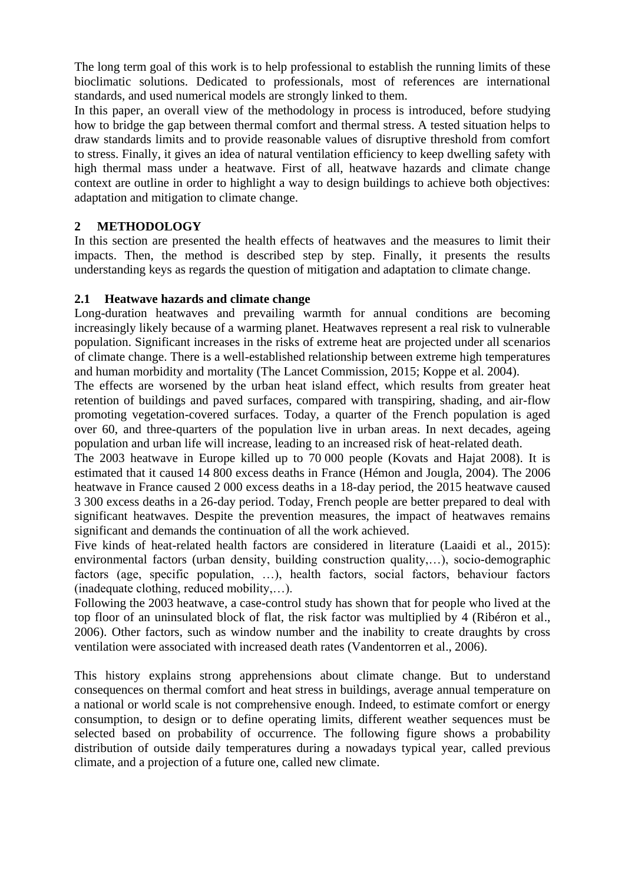The long term goal of this work is to help professional to establish the running limits of these bioclimatic solutions. Dedicated to professionals, most of references are international standards, and used numerical models are strongly linked to them.

In this paper, an overall view of the methodology in process is introduced, before studying how to bridge the gap between thermal comfort and thermal stress. A tested situation helps to draw standards limits and to provide reasonable values of disruptive threshold from comfort to stress. Finally, it gives an idea of natural ventilation efficiency to keep dwelling safety with high thermal mass under a heatwave. First of all, heatwave hazards and climate change context are outline in order to highlight a way to design buildings to achieve both objectives: adaptation and mitigation to climate change.

# **2 METHODOLOGY**

In this section are presented the health effects of heatwaves and the measures to limit their impacts. Then, the method is described step by step. Finally, it presents the results understanding keys as regards the question of mitigation and adaptation to climate change.

# **2.1 Heatwave hazards and climate change**

Long-duration heatwaves and prevailing warmth for annual conditions are becoming increasingly likely because of a warming planet. Heatwaves represent a real risk to vulnerable population. Significant increases in the risks of extreme heat are projected under all scenarios of climate change. There is a well-established relationship between extreme high temperatures and human morbidity and mortality (The Lancet Commission, 2015; Koppe et al. 2004).

The effects are worsened by the urban heat island effect, which results from greater heat retention of buildings and paved surfaces, compared with transpiring, shading, and air-flow promoting vegetation-covered surfaces. Today, a quarter of the French population is aged over 60, and three-quarters of the population live in urban areas. In next decades, ageing population and urban life will increase, leading to an increased risk of heat-related death.

The 2003 heatwave in Europe killed up to 70 000 people (Kovats and Hajat 2008). It is estimated that it caused 14 800 excess deaths in France (Hémon and Jougla, 2004). The 2006 heatwave in France caused 2 000 excess deaths in a 18-day period, the 2015 heatwave caused 3 300 excess deaths in a 26-day period. Today, French people are better prepared to deal with significant heatwaves. Despite the prevention measures, the impact of heatwaves remains significant and demands the continuation of all the work achieved.

Five kinds of heat-related health factors are considered in literature (Laaidi et al., 2015): environmental factors (urban density, building construction quality,…), socio-demographic factors (age, specific population, …), health factors, social factors, behaviour factors (inadequate clothing, reduced mobility,…).

Following the 2003 heatwave, a case-control study has shown that for people who lived at the top floor of an uninsulated block of flat, the risk factor was multiplied by 4 (Ribéron et al., 2006). Other factors, such as window number and the inability to create draughts by cross ventilation were associated with increased death rates (Vandentorren et al., 2006).

This history explains strong apprehensions about climate change. But to understand consequences on thermal comfort and heat stress in buildings, average annual temperature on a national or world scale is not comprehensive enough. Indeed, to estimate comfort or energy consumption, to design or to define operating limits, different weather sequences must be selected based on probability of occurrence. The following figure shows a probability distribution of outside daily temperatures during a nowadays typical year, called previous climate, and a projection of a future one, called new climate.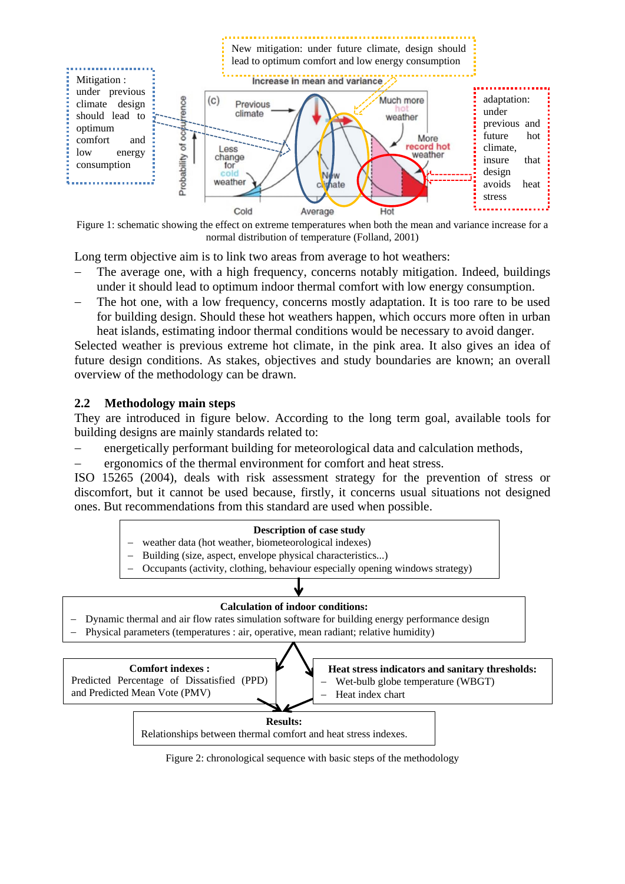

Figure 1: schematic showing the effect on extreme temperatures when both the mean and variance increase for a normal distribution of temperature (Folland, 2001)

Long term objective aim is to link two areas from average to hot weathers:

- The average one, with a high frequency, concerns notably mitigation. Indeed, buildings under it should lead to optimum indoor thermal comfort with low energy consumption.
- The hot one, with a low frequency, concerns mostly adaptation. It is too rare to be used for building design. Should these hot weathers happen, which occurs more often in urban heat islands, estimating indoor thermal conditions would be necessary to avoid danger.

Selected weather is previous extreme hot climate, in the pink area. It also gives an idea of future design conditions. As stakes, objectives and study boundaries are known; an overall overview of the methodology can be drawn.

## **2.2 Methodology main steps**

They are introduced in figure below. According to the long term goal, available tools for building designs are mainly standards related to:

- energetically performant building for meteorological data and calculation methods,
- ergonomics of the thermal environment for comfort and heat stress.

ISO 15265 (2004), deals with risk assessment strategy for the prevention of stress or discomfort, but it cannot be used because, firstly, it concerns usual situations not designed ones. But recommendations from this standard are used when possible.



Figure 2: chronological sequence with basic steps of the methodology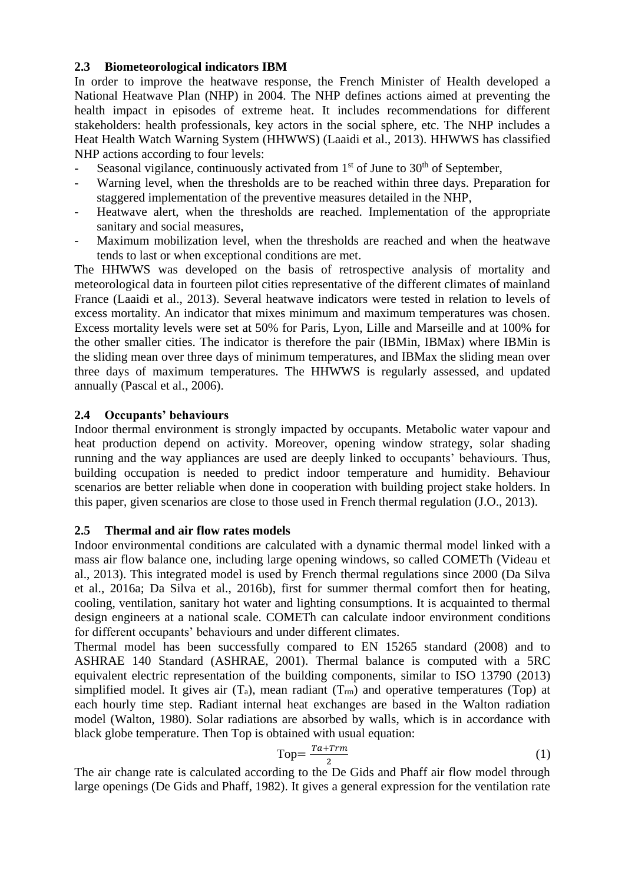## <span id="page-3-0"></span>**2.3 Biometeorological indicators IBM**

In order to improve the heatwave response, the French Minister of Health developed a National Heatwave Plan (NHP) in 2004. The NHP defines actions aimed at preventing the health impact in episodes of extreme heat. It includes recommendations for different stakeholders: health professionals, key actors in the social sphere, etc. The NHP includes a Heat Health Watch Warning System (HHWWS) (Laaidi et al., 2013). HHWWS has classified NHP actions according to four levels:

- Seasonal vigilance, continuously activated from  $1<sup>st</sup>$  of June to  $30<sup>th</sup>$  of September,
- Warning level, when the thresholds are to be reached within three days. Preparation for staggered implementation of the preventive measures detailed in the NHP,
- Heatwave alert, when the thresholds are reached. Implementation of the appropriate sanitary and social measures,
- Maximum mobilization level, when the thresholds are reached and when the heatwave tends to last or when exceptional conditions are met.

The HHWWS was developed on the basis of retrospective analysis of mortality and meteorological data in fourteen pilot cities representative of the different climates of mainland France (Laaidi et al., 2013). Several heatwave indicators were tested in relation to levels of excess mortality. An indicator that mixes minimum and maximum temperatures was chosen. Excess mortality levels were set at 50% for Paris, Lyon, Lille and Marseille and at 100% for the other smaller cities. The indicator is therefore the pair (IBMin, IBMax) where IBMin is the sliding mean over three days of minimum temperatures, and IBMax the sliding mean over three days of maximum temperatures. The HHWWS is regularly assessed, and updated annually (Pascal et al., 2006).

# **2.4 Occupants' behaviours**

Indoor thermal environment is strongly impacted by occupants. Metabolic water vapour and heat production depend on activity. Moreover, opening window strategy, solar shading running and the way appliances are used are deeply linked to occupants' behaviours. Thus, building occupation is needed to predict indoor temperature and humidity. Behaviour scenarios are better reliable when done in cooperation with building project stake holders. In this paper, given scenarios are close to those used in French thermal regulation (J.O., 2013).

# **2.5 Thermal and air flow rates models**

Indoor environmental conditions are calculated with a dynamic thermal model linked with a mass air flow balance one, including large opening windows, so called COMETh (Videau et al., 2013). This integrated model is used by French thermal regulations since 2000 (Da Silva et al., 2016a; Da Silva et al., 2016b), first for summer thermal comfort then for heating, cooling, ventilation, sanitary hot water and lighting consumptions. It is acquainted to thermal design engineers at a national scale. COMETh can calculate indoor environment conditions for different occupants' behaviours and under different climates.

Thermal model has been successfully compared to EN 15265 standard (2008) and to ASHRAE 140 Standard (ASHRAE, 2001). Thermal balance is computed with a 5RC equivalent electric representation of the building components, similar to ISO 13790 (2013) simplified model. It gives air  $(T_a)$ , mean radiant  $(T_{rm}$ ) and operative temperatures (Top) at each hourly time step. Radiant internal heat exchanges are based in the Walton radiation model (Walton, 1980). Solar radiations are absorbed by walls, which is in accordance with black globe temperature. Then Top is obtained with usual equation:

$$
Top = \frac{Ta + Trm}{2} \tag{1}
$$

The air change rate is calculated according to the De Gids and Phaff air flow model through large openings (De Gids and Phaff, 1982). It gives a general expression for the ventilation rate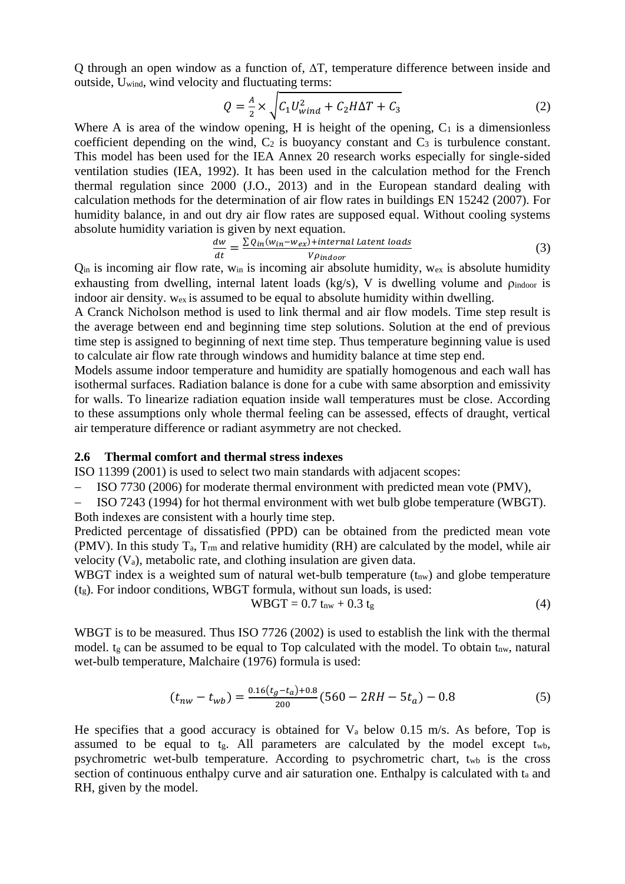Q through an open window as a function of,  $\Delta T$ , temperature difference between inside and outside, Uwind, wind velocity and fluctuating terms:

$$
Q = \frac{A}{2} \times \sqrt{C_1 U_{wind}^2 + C_2 H \Delta T + C_3}
$$
 (2)

Where A is area of the window opening, H is height of the opening,  $C_1$  is a dimensionless coefficient depending on the wind,  $C_2$  is buoyancy constant and  $C_3$  is turbulence constant. This model has been used for the IEA Annex 20 research works especially for single-sided ventilation studies (IEA, 1992). It has been used in the calculation method for the French thermal regulation since 2000 (J.O., 2013) and in the European standard dealing with calculation methods for the determination of air flow rates in buildings EN 15242 (2007). For humidity balance, in and out dry air flow rates are supposed equal. Without cooling systems absolute humidity variation is given by next equation.

$$
\frac{dw}{dt} = \frac{\sum Q_{in}(w_{in} - w_{ex}) + internal\,Latent\,loads}{V\rho_{indoor}}
$$
\n(3)

 $Q_{\text{in}}$  is incoming air flow rate, w<sub>in</sub> is incoming air absolute humidity, w<sub>ex</sub> is absolute humidity exhausting from dwelling, internal latent loads (kg/s), V is dwelling volume and  $\rho_{\text{indoor}}$  is indoor air density. wex is assumed to be equal to absolute humidity within dwelling.

A Cranck Nicholson method is used to link thermal and air flow models. Time step result is the average between end and beginning time step solutions. Solution at the end of previous time step is assigned to beginning of next time step. Thus temperature beginning value is used to calculate air flow rate through windows and humidity balance at time step end.

Models assume indoor temperature and humidity are spatially homogenous and each wall has isothermal surfaces. Radiation balance is done for a cube with same absorption and emissivity for walls. To linearize radiation equation inside wall temperatures must be close. According to these assumptions only whole thermal feeling can be assessed, effects of draught, vertical air temperature difference or radiant asymmetry are not checked.

#### **2.6 Thermal comfort and thermal stress indexes**

ISO 11399 (2001) is used to select two main standards with adjacent scopes:

ISO 7730 (2006) for moderate thermal environment with predicted mean vote (PMV),

- ISO 7243 (1994) for hot thermal environment with wet bulb globe temperature (WBGT). Both indexes are consistent with a hourly time step.

Predicted percentage of dissatisfied (PPD) can be obtained from the predicted mean vote (PMV). In this study  $T_a$ ,  $T_{rm}$  and relative humidity (RH) are calculated by the model, while air velocity (Va), metabolic rate, and clothing insulation are given data.

WBGT index is a weighted sum of natural wet-bulb temperature  $(t_{nw})$  and globe temperature (tg). For indoor conditions, WBGT formula, without sun loads, is used:

$$
WBGT = 0.7 \, \text{t}_{nw} + 0.3 \, \text{t}_{g} \tag{4}
$$

WBGT is to be measured. Thus ISO 7726 (2002) is used to establish the link with the thermal model.  $t_g$  can be assumed to be equal to Top calculated with the model. To obtain  $t_{nw}$ , natural wet-bulb temperature, Malchaire (1976) formula is used:

$$
(t_{nw} - t_{wb}) = \frac{0.16(t_g - t_a) + 0.8}{200} (560 - 2RH - 5t_a) - 0.8
$$
 (5)

He specifies that a good accuracy is obtained for  $V_a$  below 0.15 m/s. As before, Top is assumed to be equal to  $t_g$ . All parameters are calculated by the model except  $t_{wb}$ , psychrometric wet-bulb temperature. According to psychrometric chart, twb is the cross section of continuous enthalpy curve and air saturation one. Enthalpy is calculated with t<sup>a</sup> and RH, given by the model.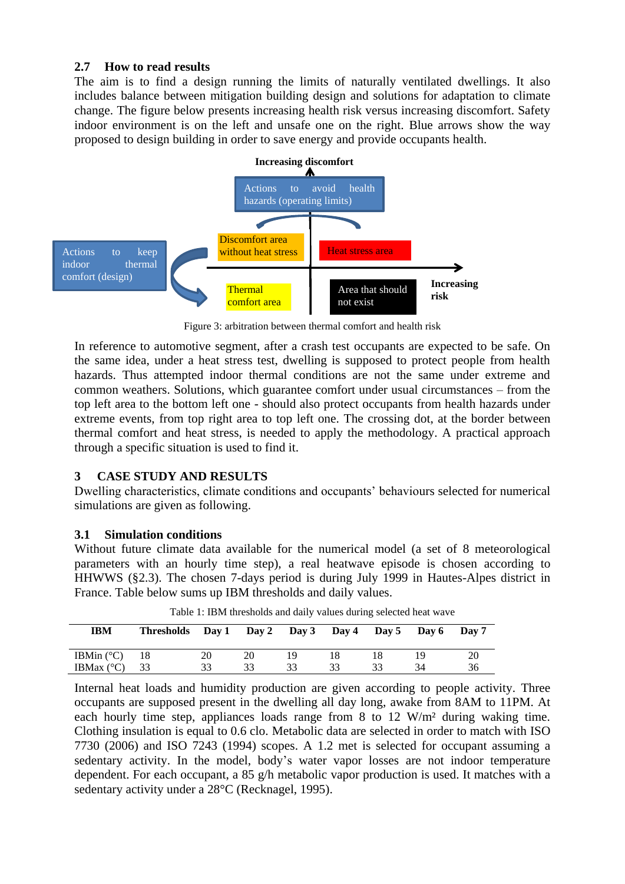## **2.7 How to read results**

The aim is to find a design running the limits of naturally ventilated dwellings. It also includes balance between mitigation building design and solutions for adaptation to climate change. The figure below presents increasing health risk versus increasing discomfort. Safety indoor environment is on the left and unsafe one on the right. Blue arrows show the way proposed to design building in order to save energy and provide occupants health.



Figure 3: arbitration between thermal comfort and health risk

In reference to automotive segment, after a crash test occupants are expected to be safe. On the same idea, under a heat stress test, dwelling is supposed to protect people from health hazards. Thus attempted indoor thermal conditions are not the same under extreme and common weathers. Solutions, which guarantee comfort under usual circumstances – from the top left area to the bottom left one - should also protect occupants from health hazards under extreme events, from top right area to top left one. The crossing dot, at the border between thermal comfort and heat stress, is needed to apply the methodology. A practical approach through a specific situation is used to find it.

# **3 CASE STUDY AND RESULTS**

Dwelling characteristics, climate conditions and occupants' behaviours selected for numerical simulations are given as following.

# **3.1 Simulation conditions**

Without future climate data available for the numerical model (a set of 8 meteorological parameters with an hourly time step), a real heatwave episode is chosen according to HHWWS ([§2.3\)](#page-3-0). The chosen 7-days period is during July 1999 in Hautes-Alpes district in France. Table below sums up IBM thresholds and daily values.

| IBM                 | Thresholds Day 1 Day 2 Day 3 Day 4 Day 5 Day 6 Day 7 |    |    |    |  |    |
|---------------------|------------------------------------------------------|----|----|----|--|----|
| IBMin $(^{\circ}C)$ | 18                                                   | 20 | 20 | 19 |  | 20 |
| IBMax $(^{\circ}C)$ | 33                                                   | 33 | 33 |    |  | 36 |

Table 1: IBM thresholds and daily values during selected heat wave

Internal heat loads and humidity production are given according to people activity. Three occupants are supposed present in the dwelling all day long, awake from 8AM to 11PM. At each hourly time step, appliances loads range from 8 to 12 W/m² during waking time. Clothing insulation is equal to 0.6 clo. Metabolic data are selected in order to match with ISO 7730 (2006) and ISO 7243 (1994) scopes. A 1.2 met is selected for occupant assuming a sedentary activity. In the model, body's water vapor losses are not indoor temperature dependent. For each occupant, a 85 g/h metabolic vapor production is used. It matches with a sedentary activity under a 28°C (Recknagel, 1995).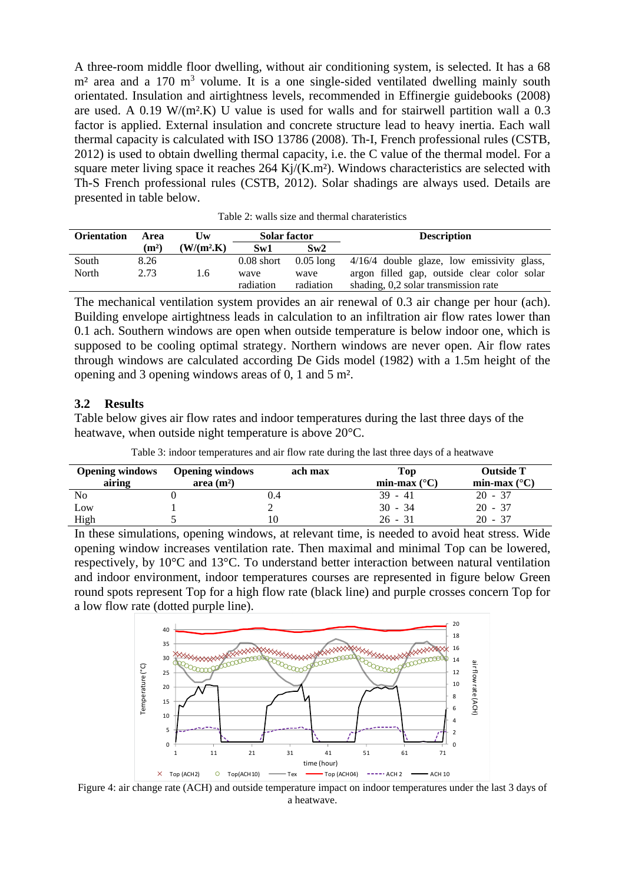A three-room middle floor dwelling, without air conditioning system, is selected. It has a 68  $m<sup>2</sup>$  area and a 170 m<sup>3</sup> volume. It is a one single-sided ventilated dwelling mainly south orientated. Insulation and airtightness levels, recommended in Effinergie guidebooks (2008) are used. A  $0.19 \text{ W/(m2,K)}$  U value is used for walls and for stairwell partition wall a  $0.3$ factor is applied. External insulation and concrete structure lead to heavy inertia. Each wall thermal capacity is calculated with ISO 13786 (2008). Th-I, French professional rules (CSTB, 2012) is used to obtain dwelling thermal capacity, i.e. the C value of the thermal model. For a square meter living space it reaches  $264 \text{ Kj/(K.m2)}$ . Windows characteristics are selected with Th-S French professional rules (CSTB, 2012). Solar shadings are always used. Details are presented in table below.

| <b>Orientation</b> | Area              | Uw            | <b>Solar factor</b> |             | <b>Description</b>                          |
|--------------------|-------------------|---------------|---------------------|-------------|---------------------------------------------|
|                    | (m <sup>2</sup> ) | $(W/(m^2.K))$ | Sw1                 | Sw2         |                                             |
| South              | 8.26              |               | $0.08$ short        | $0.05$ long | 4/16/4 double glaze, low emissivity glass,  |
| North              | 2.73              | 1.6           | wave                | wave        | argon filled gap, outside clear color solar |
|                    |                   |               | radiation           | radiation   | shading, 0,2 solar transmission rate        |

The mechanical ventilation system provides an air renewal of 0.3 air change per hour (ach). Building envelope airtightness leads in calculation to an infiltration air flow rates lower than 0.1 ach. Southern windows are open when outside temperature is below indoor one, which is supposed to be cooling optimal strategy. Northern windows are never open. Air flow rates through windows are calculated according De Gids model (1982) with a 1.5m height of the opening and 3 opening windows areas of 0, 1 and 5 m².

#### **3.2 Results**

Table below gives air flow rates and indoor temperatures during the last three days of the heatwave, when outside night temperature is above 20°C.

| <b>Opening windows</b><br>airing | <b>Opening windows</b><br>area $(m2)$ | ach max | Top<br>min-max $(^{\circ}C)$ | <b>Outside T</b><br>min-max $(^{\circ}C)$ |
|----------------------------------|---------------------------------------|---------|------------------------------|-------------------------------------------|
| N <sub>o</sub>                   |                                       | 1.4     | $39 - 41$                    | $20 - 37$                                 |
| Low                              |                                       |         | $30 - 34$                    | $20 - 37$                                 |
| High                             |                                       |         | $26 - 31$                    | 20 - 37                                   |

In these simulations, opening windows, at relevant time, is needed to avoid heat stress. Wide opening window increases ventilation rate. Then maximal and minimal Top can be lowered, respectively, by 10°C and 13°C. To understand better interaction between natural ventilation and indoor environment, indoor temperatures courses are represented in figure below Green round spots represent Top for a high flow rate (black line) and purple crosses concern Top for a low flow rate (dotted purple line).



Figure 4: air change rate (ACH) and outside temperature impact on indoor temperatures under the last 3 days of a heatwave.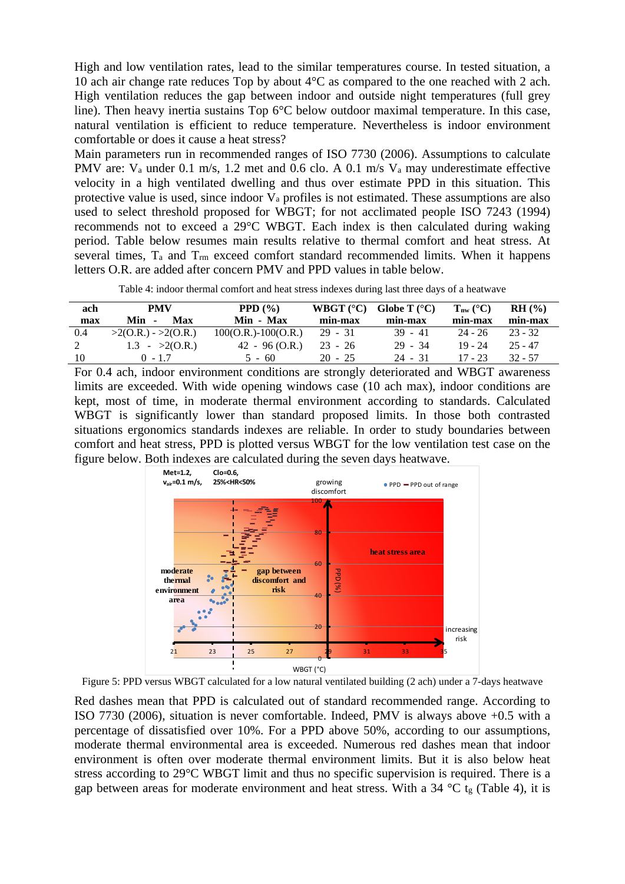High and low ventilation rates, lead to the similar temperatures course. In tested situation, a 10 ach air change rate reduces Top by about 4°C as compared to the one reached with 2 ach. High ventilation reduces the gap between indoor and outside night temperatures (full grey line). Then heavy inertia sustains Top 6°C below outdoor maximal temperature. In this case, natural ventilation is efficient to reduce temperature. Nevertheless is indoor environment comfortable or does it cause a heat stress?

Main parameters run in recommended ranges of ISO 7730 (2006). Assumptions to calculate PMV are:  $V_a$  under 0.1 m/s, 1.2 met and 0.6 clo. A 0.1 m/s  $V_a$  may underestimate effective velocity in a high ventilated dwelling and thus over estimate PPD in this situation. This protective value is used, since indoor  $V_a$  profiles is not estimated. These assumptions are also used to select threshold proposed for WBGT; for not acclimated people ISO 7243 (1994) recommends not to exceed a 29°C WBGT. Each index is then calculated during waking period. Table below resumes main results relative to thermal comfort and heat stress. At several times,  $T_a$  and  $T_{rm}$  exceed comfort standard recommended limits. When it happens letters O.R. are added after concern PMV and PPD values in table below.

Table 4: indoor thermal comfort and heat stress indexes during last three days of a heatwave

<span id="page-7-0"></span>

| ach | PMV                          | PPD $(\% )$           | WBGT $(^{\circ}C)$ | Globe T $(^{\circ}C)$ | $T_{nw}$ (°C) | RH (%)    |
|-----|------------------------------|-----------------------|--------------------|-----------------------|---------------|-----------|
| max | Min<br>Max<br>$\blacksquare$ | Min - Max             | min-max            | min-max               | min-max       | min-max   |
| 0.4 | $>2(0.R.) - 2(0.R.)$         | $100(O.R.)-100(O.R.)$ | $29 - 31$          | $39 - 41$             | $24 - 26$     | $23 - 32$ |
|     | 1.3 - $>2(0.R.)$             | $42 - 96(0.R.)$       | $23 - 26$          | $29 - 34$             | $19 - 24$     | $25 - 47$ |
| 10  | $0 - 1.7$                    | $5 - 60$              | $20 - 25$          | $24 - 31$             | $17 - 23$     | $32 - 57$ |

For 0.4 ach, indoor environment conditions are strongly deteriorated and WBGT awareness limits are exceeded. With wide opening windows case (10 ach max), indoor conditions are kept, most of time, in moderate thermal environment according to standards. Calculated WBGT is significantly lower than standard proposed limits. In those both contrasted situations ergonomics standards indexes are reliable. In order to study boundaries between comfort and heat stress, PPD is plotted versus WBGT for the low ventilation test case on the figure below. Both indexes are calculated during the seven days heatwave.



Figure 5: PPD versus WBGT calculated for a low natural ventilated building (2 ach) under a 7-days heatwave

Red dashes mean that PPD is calculated out of standard recommended range. According to ISO 7730 (2006), situation is never comfortable. Indeed, PMV is always above +0.5 with a percentage of dissatisfied over 10%. For a PPD above 50%, according to our assumptions, moderate thermal environmental area is exceeded. Numerous red dashes mean that indoor environment is often over moderate thermal environment limits. But it is also below heat stress according to 29°C WBGT limit and thus no specific supervision is required. There is a gap between areas for moderate environment and heat stress. With a 34  $^{\circ}$ C tg [\(Table 4\)](#page-7-0), it is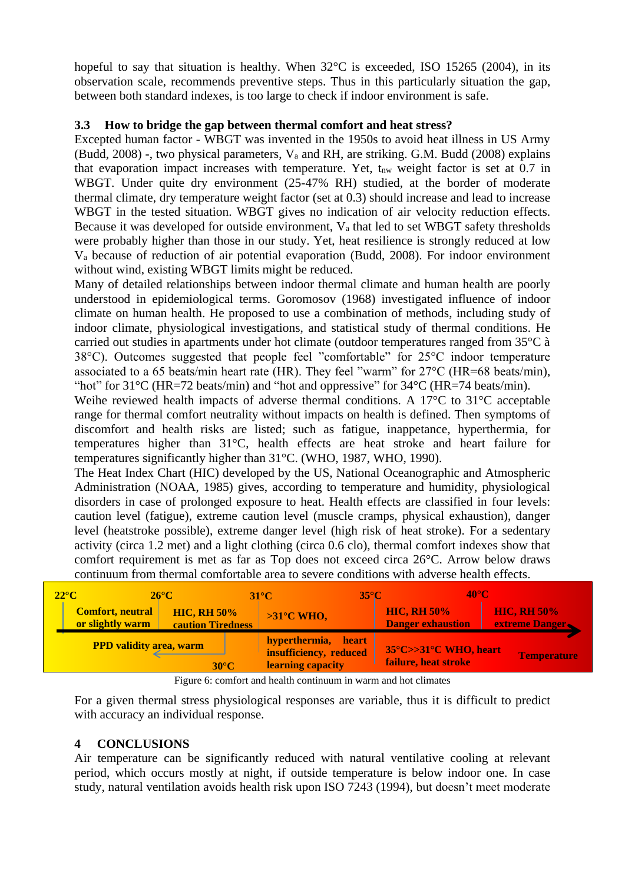hopeful to say that situation is healthy. When  $32^{\circ}$ C is exceeded, ISO 15265 (2004), in its observation scale, recommends preventive steps. Thus in this particularly situation the gap, between both standard indexes, is too large to check if indoor environment is safe.

## **3.3 How to bridge the gap between thermal comfort and heat stress?**

Excepted human factor - WBGT was invented in the 1950s to avoid heat illness in US Army (Budd, 2008) -, two physical parameters, V<sup>a</sup> and RH, are striking. G.M. Budd (2008) explains that evaporation impact increases with temperature. Yet,  $t_{nw}$  weight factor is set at 0.7 in WBGT. Under quite dry environment (25-47% RH) studied, at the border of moderate thermal climate, dry temperature weight factor (set at 0.3) should increase and lead to increase WBGT in the tested situation. WBGT gives no indication of air velocity reduction effects. Because it was developed for outside environment,  $V_a$  that led to set WBGT safety thresholds were probably higher than those in our study. Yet, heat resilience is strongly reduced at low V<sup>a</sup> because of reduction of air potential evaporation (Budd, 2008). For indoor environment without wind, existing WBGT limits might be reduced.

Many of detailed relationships between indoor thermal climate and human health are poorly understood in epidemiological terms. Goromosov (1968) investigated influence of indoor climate on human health. He proposed to use a combination of methods, including study of indoor climate, physiological investigations, and statistical study of thermal conditions. He carried out studies in apartments under hot climate (outdoor temperatures ranged from 35°C à 38°C). Outcomes suggested that people feel "comfortable" for 25°C indoor temperature associated to a 65 beats/min heart rate (HR). They feel "warm" for 27°C (HR=68 beats/min), "hot" for  $31^{\circ}$ C (HR=72 beats/min) and "hot and oppressive" for  $34^{\circ}$ C (HR=74 beats/min).

Weihe reviewed health impacts of adverse thermal conditions. A 17°C to 31°C acceptable range for thermal comfort neutrality without impacts on health is defined. Then symptoms of discomfort and health risks are listed; such as fatigue, inappetance, hyperthermia, for temperatures higher than 31°C, health effects are heat stroke and heart failure for temperatures significantly higher than 31°C. (WHO, 1987, WHO, 1990).

The Heat Index Chart (HIC) developed by the US, National Oceanographic and Atmospheric Administration (NOAA, 1985) gives, according to temperature and humidity, physiological disorders in case of prolonged exposure to heat. Health effects are classified in four levels: caution level (fatigue), extreme caution level (muscle cramps, physical exhaustion), danger level (heatstroke possible), extreme danger level (high risk of heat stroke). For a sedentary activity (circa 1.2 met) and a light clothing (circa 0.6 clo), thermal comfort indexes show that comfort requirement is met as far as Top does not exceed circa 26°C. Arrow below draws continuum from thermal comfortable area to severe conditions with adverse health effects.

| $22^{\circ}$ C<br>$26^{\circ}$ C            |                                         | $35^{\circ}$ C<br><b>31°C7</b>                                        | $40^{\circ}$ C                                 |                                      |
|---------------------------------------------|-----------------------------------------|-----------------------------------------------------------------------|------------------------------------------------|--------------------------------------|
| <b>Comfort, neutral</b><br>or slightly warm | <b>HIC, RH 50%</b><br>caution Tiredness | $>31^{\circ}$ C WHO,                                                  | <b>HIC, RH 50%</b><br><b>Danger exhaustion</b> | <b>HIC, RH 50%</b><br>extreme Danger |
| <b>PPD validity area, warm</b>              | $30^{\circ}$ C                          | hyperthermia,<br>heart<br>insufficiency, reduced<br>learning capacity | 35°C>>31°C WHO, heart<br>failure, heat stroke  | Temperature                          |

Figure 6: comfort and health continuum in warm and hot climates

For a given thermal stress physiological responses are variable, thus it is difficult to predict with accuracy an individual response.

# **4 CONCLUSIONS**

Air temperature can be significantly reduced with natural ventilative cooling at relevant period, which occurs mostly at night, if outside temperature is below indoor one. In case study, natural ventilation avoids health risk upon ISO 7243 (1994), but doesn't meet moderate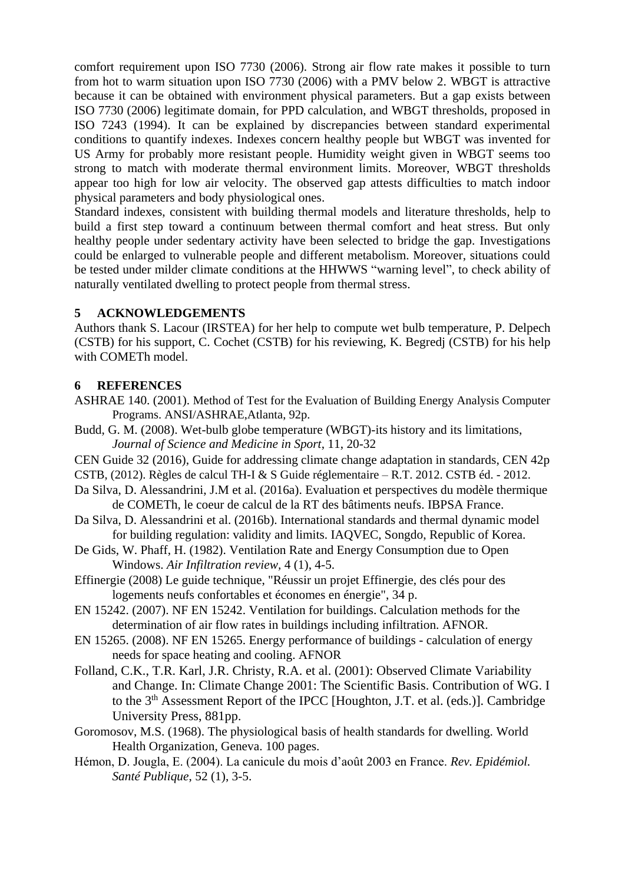comfort requirement upon ISO 7730 (2006). Strong air flow rate makes it possible to turn from hot to warm situation upon ISO 7730 (2006) with a PMV below 2. WBGT is attractive because it can be obtained with environment physical parameters. But a gap exists between ISO 7730 (2006) legitimate domain, for PPD calculation, and WBGT thresholds, proposed in ISO 7243 (1994). It can be explained by discrepancies between standard experimental conditions to quantify indexes. Indexes concern healthy people but WBGT was invented for US Army for probably more resistant people. Humidity weight given in WBGT seems too strong to match with moderate thermal environment limits. Moreover, WBGT thresholds appear too high for low air velocity. The observed gap attests difficulties to match indoor physical parameters and body physiological ones.

Standard indexes, consistent with building thermal models and literature thresholds, help to build a first step toward a continuum between thermal comfort and heat stress. But only healthy people under sedentary activity have been selected to bridge the gap. Investigations could be enlarged to vulnerable people and different metabolism. Moreover, situations could be tested under milder climate conditions at the HHWWS "warning level", to check ability of naturally ventilated dwelling to protect people from thermal stress.

# **5 ACKNOWLEDGEMENTS**

Authors thank S. Lacour (IRSTEA) for her help to compute wet bulb temperature, P. Delpech (CSTB) for his support, C. Cochet (CSTB) for his reviewing, K. Begredj (CSTB) for his help with COMETh model.

# **6 REFERENCES**

- ASHRAE 140. (2001). Method of Test for the Evaluation of Building Energy Analysis Computer Programs. ANSI/ASHRAE,Atlanta, 92p.
- Budd, G. M. (2008). Wet-bulb globe temperature (WBGT)-its history and its limitations, *Journal of Science and Medicine in Sport*, 11, 20-32
- CEN Guide 32 (2016), Guide for addressing climate change adaptation in standards, CEN 42p

CSTB, (2012). Règles de calcul TH-I & S Guide réglementaire – R.T. 2012. CSTB éd. - 2012.

- Da Silva, D. Alessandrini, J.M et al. (2016a). Evaluation et perspectives du modèle thermique de COMETh, le coeur de calcul de la RT des bâtiments neufs. IBPSA France.
- Da Silva, D. Alessandrini et al. (2016b). International standards and thermal dynamic model for building regulation: validity and limits. IAQVEC, Songdo, Republic of Korea.
- De Gids, W. Phaff, H. (1982). Ventilation Rate and Energy Consumption due to Open Windows. *Air Infiltration review,* 4 (1), 4-5.
- Effinergie (2008) Le guide technique, "Réussir un projet Effinergie, des clés pour des logements neufs confortables et économes en énergie", 34 p.
- EN 15242. (2007). NF EN 15242. Ventilation for buildings. Calculation methods for the determination of air flow rates in buildings including infiltration. AFNOR.
- EN 15265. (2008). NF EN 15265. Energy performance of buildings calculation of energy needs for space heating and cooling. AFNOR
- Folland, C.K., T.R. Karl, J.R. Christy, R.A. et al. (2001): Observed Climate Variability and Change. In: Climate Change 2001: The Scientific Basis. Contribution of WG. I to the 3<sup>th</sup> Assessment Report of the IPCC [Houghton, J.T. et al. (eds.)]. Cambridge University Press, 881pp.
- Goromosov, M.S. (1968). The physiological basis of health standards for dwelling. World Health Organization, Geneva. 100 pages.
- Hémon, D. Jougla, E. (2004). La canicule du mois d'août 2003 en France. *Rev. Epidémiol. Santé Publique*, 52 (1), 3-5.